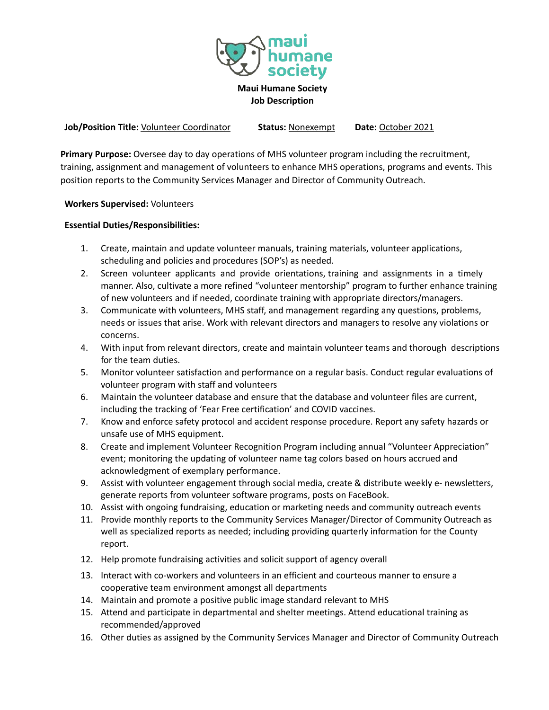

**Job/Position Title:** Volunteer Coordinator **Status:** Nonexempt **Date:** October 2021

**Primary Purpose:** Oversee day to day operations of MHS volunteer program including the recruitment, training, assignment and management of volunteers to enhance MHS operations, programs and events. This position reports to the Community Services Manager and Director of Community Outreach.

**Workers Supervised:** Volunteers

## **Essential Duties/Responsibilities:**

- 1. Create, maintain and update volunteer manuals, training materials, volunteer applications, scheduling and policies and procedures (SOP's) as needed.
- 2. Screen volunteer applicants and provide orientations, training and assignments in a timely manner. Also, cultivate a more refined "volunteer mentorship" program to further enhance training of new volunteers and if needed, coordinate training with appropriate directors/managers.
- 3. Communicate with volunteers, MHS staff, and management regarding any questions, problems, needs or issues that arise. Work with relevant directors and managers to resolve any violations or concerns.
- 4. With input from relevant directors, create and maintain volunteer teams and thorough descriptions for the team duties.
- 5. Monitor volunteer satisfaction and performance on a regular basis. Conduct regular evaluations of volunteer program with staff and volunteers
- 6. Maintain the volunteer database and ensure that the database and volunteer files are current, including the tracking of 'Fear Free certification' and COVID vaccines.
- 7. Know and enforce safety protocol and accident response procedure. Report any safety hazards or unsafe use of MHS equipment.
- 8. Create and implement Volunteer Recognition Program including annual "Volunteer Appreciation" event; monitoring the updating of volunteer name tag colors based on hours accrued and acknowledgment of exemplary performance.
- 9. Assist with volunteer engagement through social media, create & distribute weekly e- newsletters, generate reports from volunteer software programs, posts on FaceBook.
- 10. Assist with ongoing fundraising, education or marketing needs and community outreach events
- 11. Provide monthly reports to the Community Services Manager/Director of Community Outreach as well as specialized reports as needed; including providing quarterly information for the County report.
- 12. Help promote fundraising activities and solicit support of agency overall
- 13. Interact with co-workers and volunteers in an efficient and courteous manner to ensure a cooperative team environment amongst all departments
- 14. Maintain and promote a positive public image standard relevant to MHS
- 15. Attend and participate in departmental and shelter meetings. Attend educational training as recommended/approved
- 16. Other duties as assigned by the Community Services Manager and Director of Community Outreach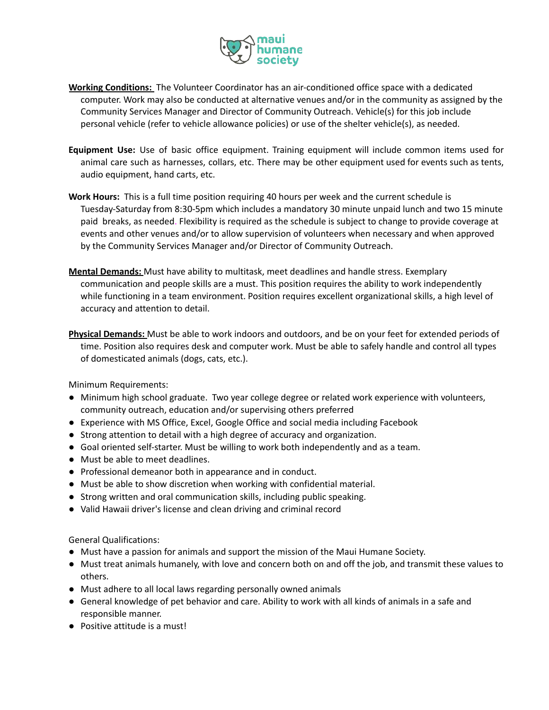

- **Working Conditions:** The Volunteer Coordinator has an air-conditioned office space with a dedicated computer. Work may also be conducted at alternative venues and/or in the community as assigned by the Community Services Manager and Director of Community Outreach. Vehicle(s) for this job include personal vehicle (refer to vehicle allowance policies) or use of the shelter vehicle(s), as needed.
- **Equipment Use:** Use of basic office equipment. Training equipment will include common items used for animal care such as harnesses, collars, etc. There may be other equipment used for events such as tents, audio equipment, hand carts, etc.
- **Work Hours:** This is a full time position requiring 40 hours per week and the current schedule is Tuesday-Saturday from 8:30-5pm which includes a mandatory 30 minute unpaid lunch and two 15 minute paid breaks, as needed. Flexibility is required as the schedule is subject to change to provide coverage at events and other venues and/or to allow supervision of volunteers when necessary and when approved by the Community Services Manager and/or Director of Community Outreach.
- **Mental Demands:** Must have ability to multitask, meet deadlines and handle stress. Exemplary communication and people skills are a must. This position requires the ability to work independently while functioning in a team environment. Position requires excellent organizational skills, a high level of accuracy and attention to detail.
- **Physical Demands:** Must be able to work indoors and outdoors, and be on your feet for extended periods of time. Position also requires desk and computer work. Must be able to safely handle and control all types of domesticated animals (dogs, cats, etc.).

Minimum Requirements:

- Minimum high school graduate. Two year college degree or related work experience with volunteers, community outreach, education and/or supervising others preferred
- Experience with MS Office, Excel, Google Office and social media including Facebook
- Strong attention to detail with a high degree of accuracy and organization.
- Goal oriented self-starter. Must be willing to work both independently and as a team.
- Must be able to meet deadlines.
- Professional demeanor both in appearance and in conduct.
- Must be able to show discretion when working with confidential material.
- Strong written and oral communication skills, including public speaking.
- Valid Hawaii driver's license and clean driving and criminal record

General Qualifications:

- Must have a passion for animals and support the mission of the Maui Humane Society.
- Must treat animals humanely, with love and concern both on and off the job, and transmit these values to others.
- Must adhere to all local laws regarding personally owned animals
- General knowledge of pet behavior and care. Ability to work with all kinds of animals in a safe and responsible manner.
- Positive attitude is a must!